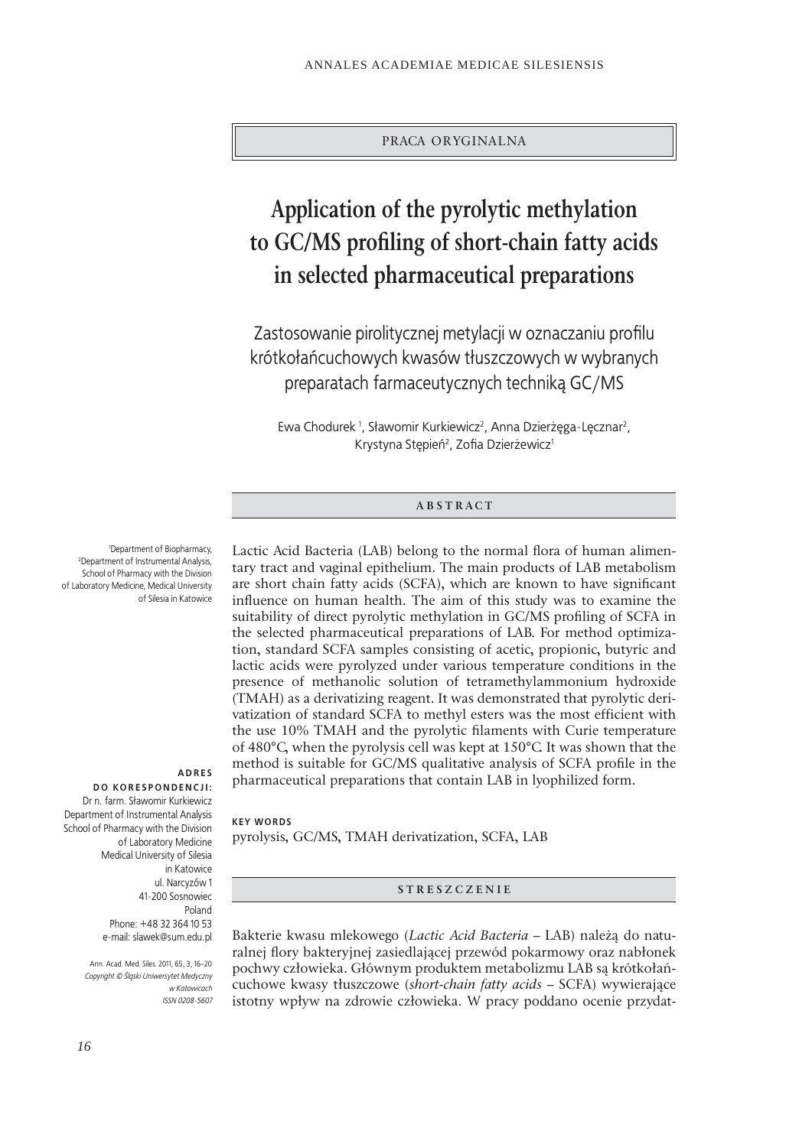PRACA ORYGINALNA

# **Application of the pyrolytic methylation**  to GC/MS profiling of short-chain fatty acids **in selected pharmaceutical preparations**

Zastosowanie pirolitycznej metylacji w oznaczaniu profilu krótkołańcuchowych kwasów tłuszczowych w wybranych preparatach farmaceutycznych techniką GC/MS

Ewa Chodurek<sup>1</sup>, Sławomir Kurkiewicz<sup>2</sup>, Anna Dzierżęga-Lęcznar<sup>2</sup>, Krystyna Stępień<sup>2</sup>, Zofia Dzierżewicz<sup>1</sup>

## **ABSTRACT**

Lactic Acid Bacteria (LAB) belong to the normal flora of human alimentary tract and vaginal epithelium. The main products of LAB metabolism are short chain fatty acids (SCFA), which are known to have significant influence on human health. The aim of this study was to examine the suitability of direct pyrolytic methylation in GC/MS profiling of SCFA in the selected pharmaceutical preparations of LAB. For method optimization, standard SCFA samples consisting of acetic, propionic, butyric and lactic acids were pyrolyzed under various temperature conditions in the presence of methanolic solution of tetramethylammonium hydroxide (TMAH) as a derivatizing reagent. It was demonstrated that pyrolytic derivatization of standard SCFA to methyl esters was the most efficient with the use 10% TMAH and the pyrolytic filaments with Curie temperature of 480°C, when the pyrolysis cell was kept at 150°C. It was shown that the method is suitable for GC/MS qualitative analysis of SCFA profile in the pharmaceutical preparations that contain LAB in lyophilized form.

#### **KEY WORDS**

pyrolysis, GC/MS, TMAH derivatization, SCFA, LAB

**STRESZCZENIE**

Bakterie kwasu mlekowego (*Lactic Acid Bacteria –* LAB) należą do naturalnej flory bakteryjnej zasiedlającej przewód pokarmowy oraz nabłonek pochwy człowieka. Głównym produktem metabolizmu LAB są krótkołańcuchowe kwasy tłuszczowe (*short-chain fatty acids* – SCFA) wywierające istotny wpływ na zdrowie człowieka. W pracy poddano ocenie przydat-

<sup>1</sup>Department of Biopharmacy, Department of Biopharmacy, 2 Department of Instrumental Analysis, School of Pharmacy with the Division of Laboratory Medicine, Medical University of Silesia in Katowice

#### **A D R E S DO KORESPONDENCJI:**

Dr n. farm. Sławomir Kurkiewicz Department of Instrumental Analysis School of Pharmacy with the Division of Laboratory Medicine Medical University of Silesia in Katowice ul. Narcyzów 1 41-200 Sosnowiec Poland Phone: +48 32 364 10 53 e-mail: slawek@sum.edu.pl

> Ann. Acad. Med. Siles. 2011, 65, 3, 16–20 *Copyright © Śląski Uniwersytet Medyczny w Katowicach ISSN 0208-5607*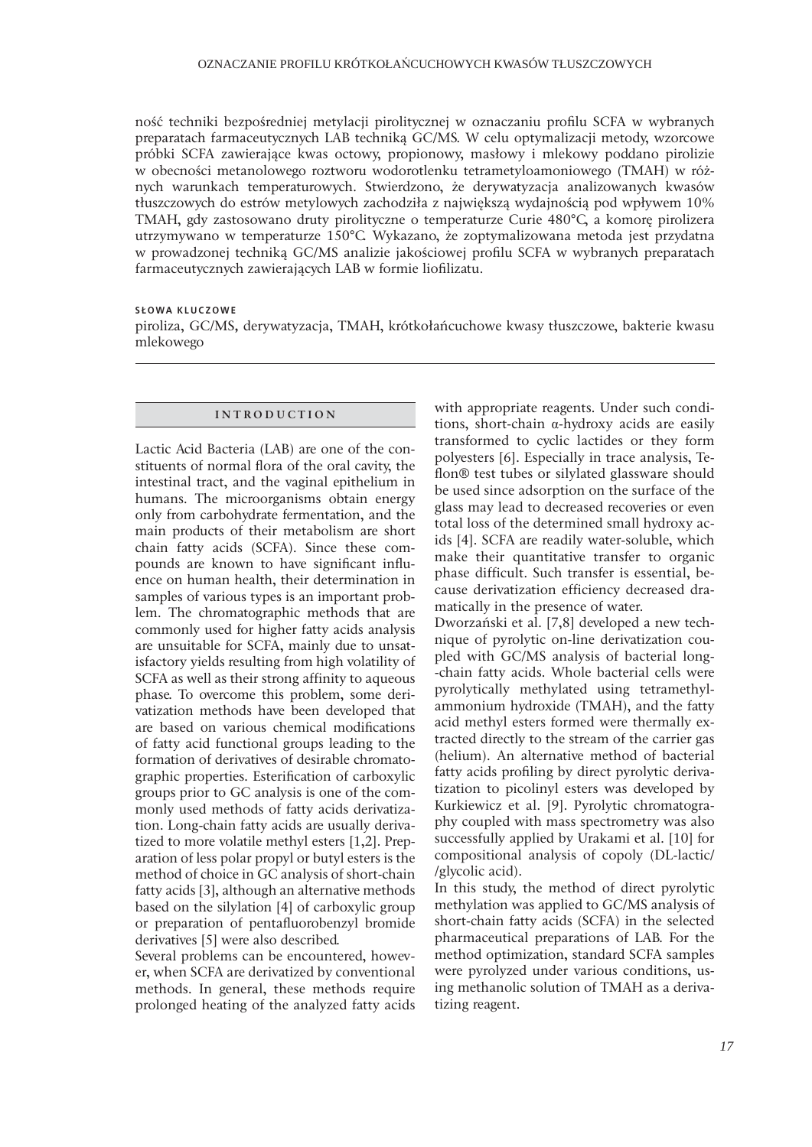ność techniki bezpośredniej metylacji pirolitycznej w oznaczaniu profilu SCFA w wybranych preparatach farmaceutycznych LAB techniką GC/MS. W celu optymalizacji metody, wzorcowe próbki SCFA zawierające kwas octowy, propionowy, masłowy i mlekowy poddano pirolizie w obecności metanolowego roztworu wodorotlenku tetrametyloamoniowego (TMAH) w różnych warunkach temperaturowych. Stwierdzono, że derywatyzacja analizowanych kwasów tłuszczowych do estrów metylowych zachodziła z największą wydajnością pod wpływem 10% TMAH, gdy zastosowano druty pirolityczne o temperaturze Curie 480°C, a komorę pirolizera utrzymywano w temperaturze 150°C. Wykazano, że zoptymalizowana metoda jest przydatna w prowadzonej techniką GC/MS analizie jakościowej profilu SCFA w wybranych preparatach farmaceutycznych zawierających LAB w formie liofilizatu.

## **SŁOWA KLUCZOWE**

piroliza, GC/MS, derywatyzacja, TMAH, krótkołańcuchowe kwasy tłuszczowe, bakterie kwasu mlekowego

## **INTRODUCTION**

Lactic Acid Bacteria (LAB) are one of the constituents of normal flora of the oral cavity, the intestinal tract, and the vaginal epithelium in humans. The microorganisms obtain energy only from carbohydrate fermentation, and the main products of their metabolism are short chain fatty acids (SCFA). Since these compounds are known to have significant influence on human health, their determination in samples of various types is an important problem. The chromatographic methods that are commonly used for higher fatty acids analysis are unsuitable for SCFA, mainly due to unsatisfactory yields resulting from high volatility of SCFA as well as their strong affinity to aqueous phase. To overcome this problem, some derivatization methods have been developed that are based on various chemical modifications of fatty acid functional groups leading to the formation of derivatives of desirable chromatographic properties. Esterification of carboxylic groups prior to GC analysis is one of the commonly used methods of fatty acids derivatization. Long-chain fatty acids are usually derivatized to more volatile methyl esters [1,2]. Preparation of less polar propyl or butyl esters is the method of choice in GC analysis of short-chain fatty acids [3], although an alternative methods based on the silylation [4] of carboxylic group or preparation of pentafluorobenzyl bromide derivatives [5] were also described.

Several problems can be encountered, however, when SCFA are derivatized by conventional methods. In general, these methods require prolonged heating of the analyzed fatty acids

with appropriate reagents. Under such conditions, short-chain a-hydroxy acids are easily transformed to cyclic lactides or they form polyesters [6]. Especially in trace analysis, Teflon® test tubes or silvlated glassware should be used since adsorption on the surface of the glass may lead to decreased recoveries or even total loss of the determined small hydroxy acids [4]. SCFA are readily water-soluble, which make their quantitative transfer to organic phase difficult. Such transfer is essential, because derivatization efficiency decreased dramatically in the presence of water.

Dworzański et al. [7,8] developed a new technique of pyrolytic on-line derivatization coupled with GC/MS analysis of bacterial long--chain fatty acids. Whole bacterial cells were pyrolytically methylated using tetramethylammonium hydroxide (TMAH), and the fatty acid methyl esters formed were thermally extracted directly to the stream of the carrier gas (helium). An alternative method of bacterial fatty acids profiling by direct pyrolytic derivatization to picolinyl esters was developed by Kurkiewicz et al. [9]. Pyrolytic chromatography coupled with mass spectrometry was also successfully applied by Urakami et al. [10] for compositional analysis of copoly (DL-lactic/ /glycolic acid).

In this study, the method of direct pyrolytic methylation was applied to GC/MS analysis of short-chain fatty acids (SCFA) in the selected pharmaceutical preparations of LAB. For the method optimization, standard SCFA samples were pyrolyzed under various conditions, using methanolic solution of TMAH as a derivatizing reagent.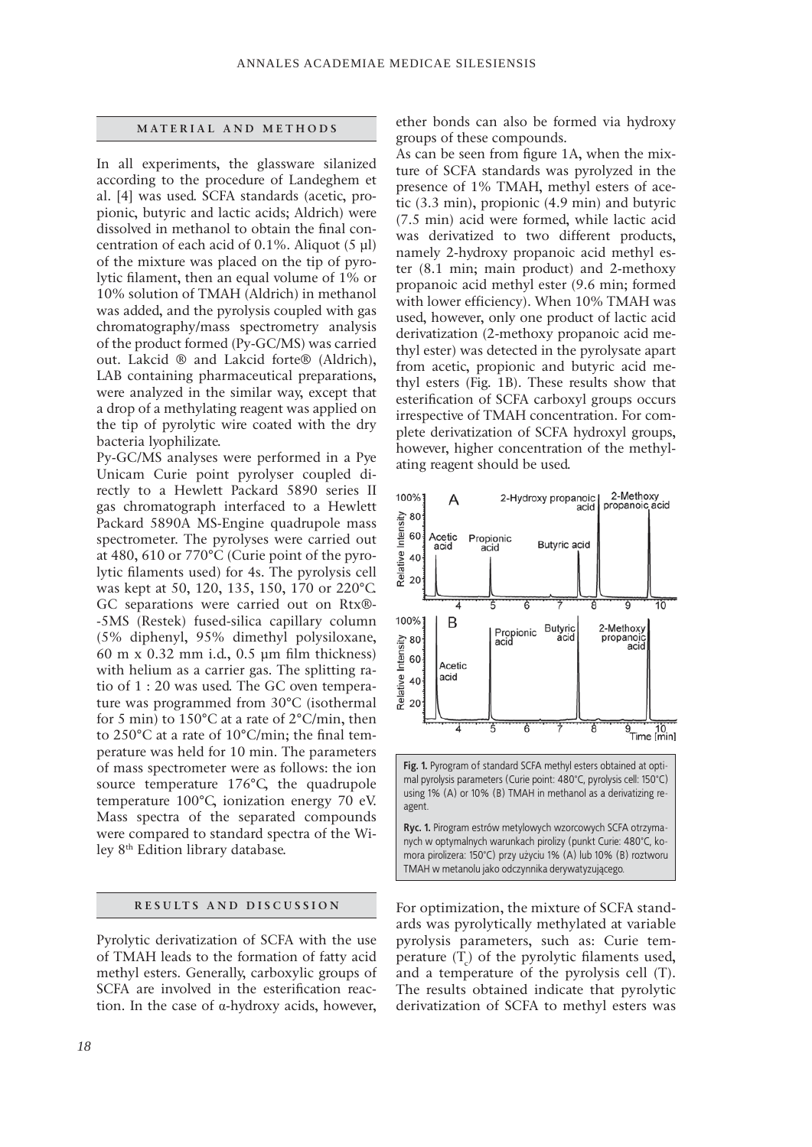#### **MATERIAL AND METHODS**

In all experiments, the glassware silanized according to the procedure of Landeghem et al. [4] was used. SCFA standards (acetic, propionic, butyric and lactic acids; Aldrich) were dissolved in methanol to obtain the final concentration of each acid of 0.1%. Aliquot (5 μl) of the mixture was placed on the tip of pyrolytic filament, then an equal volume of  $1\%$  or 10% solution of TMAH (Aldrich) in methanol was added, and the pyrolysis coupled with gas chromatography/mass spectrometry analysis of the product formed (Py-GC/MS) was carried out. Lakcid ® and Lakcid forte® (Aldrich), LAB containing pharmaceutical preparations, were analyzed in the similar way, except that a drop of a methylating reagent was applied on the tip of pyrolytic wire coated with the dry bacteria lyophilizate.

Py-GC/MS analyses were performed in a Pye Unicam Curie point pyrolyser coupled directly to a Hewlett Packard 5890 series II gas chromatograph interfaced to a Hewlett Packard 5890A MS-Engine quadrupole mass spectrometer. The pyrolyses were carried out at 480, 610 or 770°C (Curie point of the pyrolytic filaments used) for 4s. The pyrolysis cell was kept at 50, 120, 135, 150, 170 or 220°C. GC separations were carried out on Rtx®- -5MS (Restek) fused-silica capillary column (5% diphenyl, 95% dimethyl polysiloxane, 60 m x 0.32 mm i.d., 0.5  $\mu$ m film thickness) with helium as a carrier gas. The splitting ratio of 1 : 20 was used. The GC oven temperature was programmed from 30°C (isothermal for 5 min) to 150°C at a rate of 2°C/min, then to  $250^{\circ}$ C at a rate of  $10^{\circ}$ C/min; the final temperature was held for 10 min. The parameters of mass spectrometer were as follows: the ion source temperature 176°C, the quadrupole temperature 100°C, ionization energy 70 eV. Mass spectra of the separated compounds were compared to standard spectra of the Wiley 8th Edition library database.

## **RESULTS AND DISCUSSION**

Pyrolytic derivatization of SCFA with the use of TMAH leads to the formation of fatty acid methyl esters. Generally, carboxylic groups of SCFA are involved in the esterification reaction. In the case of  $\alpha$ -hydroxy acids, however,

ether bonds can also be formed via hydroxy groups of these compounds.

As can be seen from figure 1A, when the mixture of SCFA standards was pyrolyzed in the presence of 1% TMAH, methyl esters of acetic (3.3 min), propionic (4.9 min) and butyric (7.5 min) acid were formed, while lactic acid was derivatized to two different products, namely 2-hydroxy propanoic acid methyl ester (8.1 min; main product) and 2-methoxy propanoic acid methyl ester (9.6 min; formed with lower efficiency). When 10% TMAH was used, however, only one product of lactic acid derivatization (2-methoxy propanoic acid methyl ester) was detected in the pyrolysate apart from acetic, propionic and butyric acid methyl esters (Fig. 1B). These results show that esterification of SCFA carboxyl groups occurs irrespective of TMAH concentration. For complete derivatization of SCFA hydroxyl groups, however, higher concentration of the methylating reagent should be used.



For optimization, the mixture of SCFA standards was pyrolytically methylated at variable pyrolysis parameters, such as: Curie temperature  $(T_c)$  of the pyrolytic filaments used, and a temperature of the pyrolysis cell (T). The results obtained indicate that pyrolytic derivatization of SCFA to methyl esters was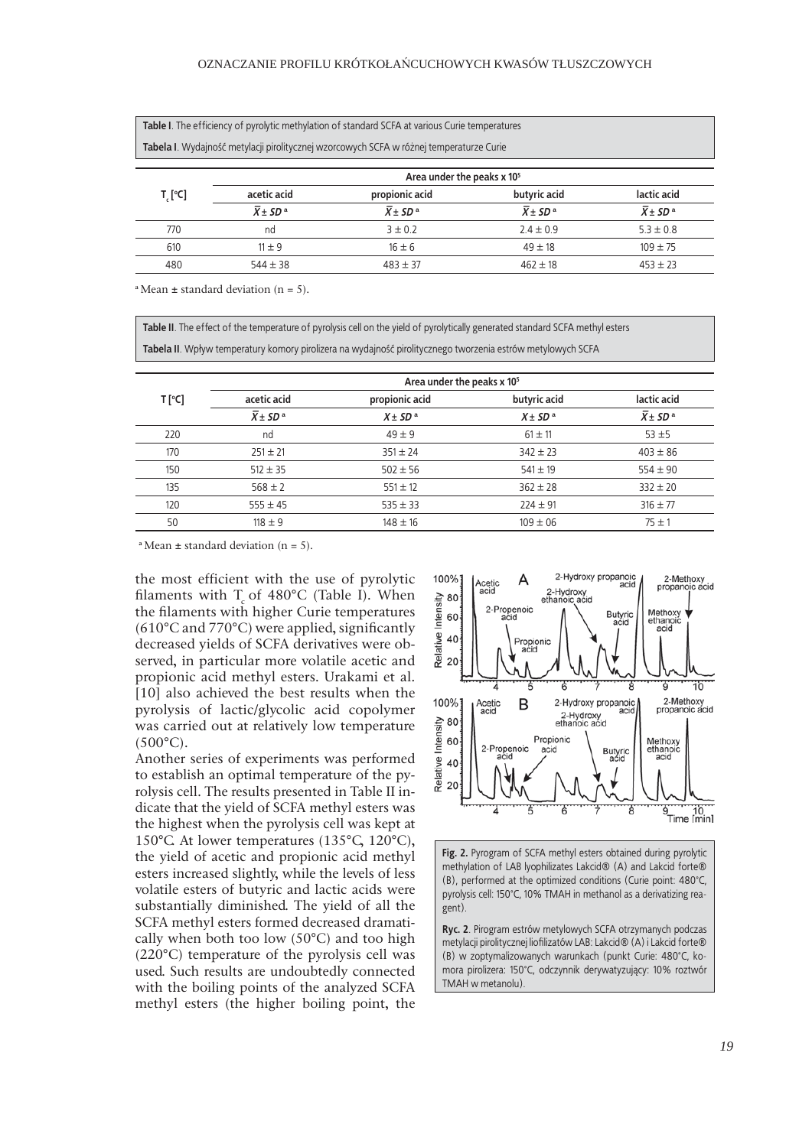Table I. The efficiency of pyrolytic methylation of standard SCFA at various Curie temperatures

**Tabela I**. Wydajność metylacji pirolitycznej wzorcowych SCFA w różnej temperaturze Curie

|         | Area under the peaks x 10 <sup>5</sup> |                               |                                  |                                  |  |
|---------|----------------------------------------|-------------------------------|----------------------------------|----------------------------------|--|
| T, [°C] | acetic acid                            | propionic acid                | butyric acid                     | lactic acid                      |  |
|         | $\overline{X}$ + SD <sup>a</sup>       | $\overline{X} \pm SD^{\rm a}$ | $\overline{X}$ + SD <sup>a</sup> | $\overline{X}$ + SD <sup>a</sup> |  |
| 770     | nd                                     | $3 \pm 0.2$                   | $2.4 \pm 0.9$                    | $5.3 \pm 0.8$                    |  |
| 610     | $11 \pm 9$                             | $16 \pm 6$                    | $49 \pm 18$                      | $109 \pm 75$                     |  |
| 480     | $544 \pm 38$                           | $483 \pm 37$                  | $462 \pm 18$                     | $453 \pm 23$                     |  |

**<sup>a</sup>**Mean **±** standard deviation (n = 5).

Table II. The effect of the temperature of pyrolysis cell on the yield of pyrolytically generated standard SCFA methyl esters **Tabela II**. Wpływ temperatury komory pirolizera na wydajność pirolitycznego tworzenia estrów metylowych SCFA

|        | Area under the peaks x 10 <sup>5</sup> |                |              |                                  |  |
|--------|----------------------------------------|----------------|--------------|----------------------------------|--|
| T [°C] | acetic acid                            | propionic acid | butyric acid | lactic acid                      |  |
|        | $\overline{X}$ ± SD <sup>a</sup>       | $X \pm SD^a$   | $X \pm SD^a$ | $\overline{X}$ ± SD <sup>a</sup> |  |
| 220    | nd                                     | $49 \pm 9$     | $61 \pm 11$  | $53 + 5$                         |  |
| 170    | $251 \pm 21$                           | $351 \pm 24$   | $342 \pm 23$ | $403 \pm 86$                     |  |
| 150    | $512 \pm 35$                           | $502 \pm 56$   | $541 \pm 19$ | $554 \pm 90$                     |  |
| 135    | $568 \pm 2$                            | $551 \pm 12$   | $362 \pm 28$ | $332 \pm 20$                     |  |
| 120    | $555 \pm 45$                           | $535 \pm 33$   | $224 \pm 91$ | $316 \pm 77$                     |  |
| 50     | $118 \pm 9$                            | $148 \pm 16$   | $109 \pm 06$ | $75 \pm 1$                       |  |

 $a$  Mean  $\pm$  standard deviation (n = 5).

the most efficient with the use of pyrolytic filaments with  $T_c$  of 480°C (Table I). When the filaments with higher Curie temperatures  $(610^{\circ}$ C and 770 $^{\circ}$ C) were applied, significantly decreased yields of SCFA derivatives were observed, in particular more volatile acetic and propionic acid methyl esters. Urakami et al. [10] also achieved the best results when the pyrolysis of lactic/glycolic acid copolymer was carried out at relatively low temperature  $(500^{\circ}C)$ .

Another series of experiments was performed to establish an optimal temperature of the pyrolysis cell. The results presented in Table II indicate that the yield of SCFA methyl esters was the highest when the pyrolysis cell was kept at 150°C. At lower temperatures (135°C, 120°C), the yield of acetic and propionic acid methyl esters increased slightly, while the levels of less volatile esters of butyric and lactic acids were substantially diminished. The yield of all the SCFA methyl esters formed decreased dramatically when both too low (50°C) and too high (220°C) temperature of the pyrolysis cell was used. Such results are undoubtedly connected with the boiling points of the analyzed SCFA methyl esters (the higher boiling point, the



**Fig. 2.** Pyrogram of SCFA methyl esters obtained during pyrolytic methylation of LAB lyophilizates Lakcid® (A) and Lakcid forte® (B), performed at the optimized conditions (Curie point: 480°C, pyrolysis cell: 150°C, 10% TMAH in methanol as a derivatizing reagent).

**Ryc. 2**. Pirogram estrów metylowych SCFA otrzymanych podczas metylacji pirolitycznej liofilizatów LAB: Lakcid® (A) i Lakcid forte® (B) w zoptymalizowanych warunkach (punkt Curie: 480°C, komora pirolizera: 150°C, odczynnik derywatyzujący: 10% roztwór TMAH w metanolu).